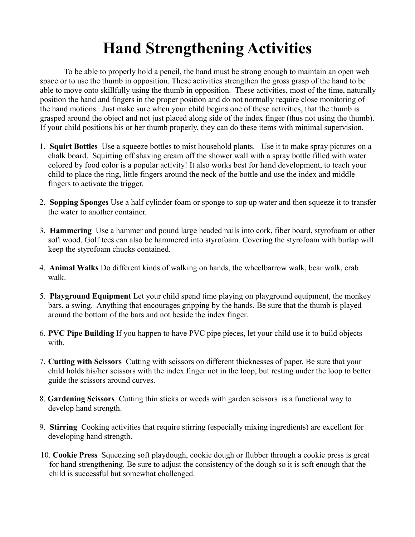## **Hand Strengthening Activities**

To be able to properly hold a pencil, the hand must be strong enough to maintain an open web space or to use the thumb in opposition. These activities strengthen the gross grasp of the hand to be able to move onto skillfully using the thumb in opposition. These activities, most of the time, naturally position the hand and fingers in the proper position and do not normally require close monitoring of the hand motions. Just make sure when your child begins one of these activities, that the thumb is grasped around the object and not just placed along side of the index finger (thus not using the thumb). If your child positions his or her thumb properly, they can do these items with minimal supervision.

- 1. **Squirt Bottles** Use a squeeze bottles to mist household plants. Use it to make spray pictures on a chalk board. Squirting off shaving cream off the shower wall with a spray bottle filled with water colored by food color is a popular activity! It also works best for hand development, to teach your child to place the ring, little fingers around the neck of the bottle and use the index and middle fingers to activate the trigger.
- 2. **Sopping Sponges** Use a half cylinder foam or sponge to sop up water and then squeeze it to transfer the water to another container.
- 3. **Hammering** Use a hammer and pound large headed nails into cork, fiber board, styrofoam or other soft wood. Golf tees can also be hammered into styrofoam. Covering the styrofoam with burlap will keep the styrofoam chucks contained.
- 4. **Animal Walks** Do different kinds of walking on hands, the wheelbarrow walk, bear walk, crab walk.
- 5. **Playground Equipment** Let your child spend time playing on playground equipment, the monkey bars, a swing. Anything that encourages gripping by the hands. Be sure that the thumb is played around the bottom of the bars and not beside the index finger.
- 6. **PVC Pipe Building** If you happen to have PVC pipe pieces, let your child use it to build objects with.
- 7. **Cutting with Scissors** Cutting with scissors on different thicknesses of paper. Be sure that your child holds his/her scissors with the index finger not in the loop, but resting under the loop to better guide the scissors around curves.
- 8. **Gardening Scissors** Cutting thin sticks or weeds with garden scissors is a functional way to develop hand strength.
- 9. **Stirring** Cooking activities that require stirring (especially mixing ingredients) are excellent for developing hand strength.
- 10. **Cookie Press** Squeezing soft playdough, cookie dough or flubber through a cookie press is great for hand strengthening. Be sure to adjust the consistency of the dough so it is soft enough that the child is successful but somewhat challenged.